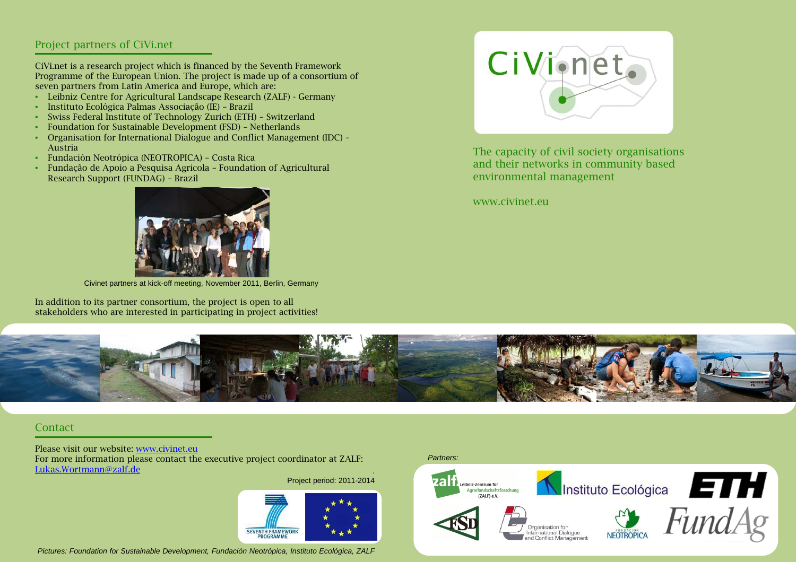# Project partners of CiVi.net

CiVi.net is a research project which is financed by the Seventh Framework Programme of the European Union. The project is made up of a consortium of seven partners from Latin America and Europe, which are:

- Leibniz Centre for Agricultural Landscape Research (ZALF) Germany
- •Instituto Ecológica Palmas Associação (IE) – Brazil
- •Swiss Federal Institute of Technology Zurich (ETH) – Switzerland
- •Foundation for Sustainable Development (FSD) – Netherlands
- Organisation for International Dialogue and Conflict Management (IDC) Austria
- Fundación Neotrópica (NEOTROPICA) Costa Rica
- Fundação de Apoio a Pesquisa Agricola Foundation of Agricultural Research Support (FUNDAG) – Brazil



Civinet partners at kick-off meeting, November 2011, Berlin, Germany

In addition to its partner consortium, the project is open to all stakeholders who are interested in participating in project activities!



The capacity of civil society organisations and their networks in community based environmental management

www.civinet.eu



#### Contact

Please visit our website: www.civinet.eu For more information please contact the executive project coordinator at ZALF: Lukas.Wortmann@zalf.de

Project period: 2011-2014



Pictures: Foundation for Sustainable Development, Fundación Neotrópica, Instituto Ecológica, ZALF

#### Partners: